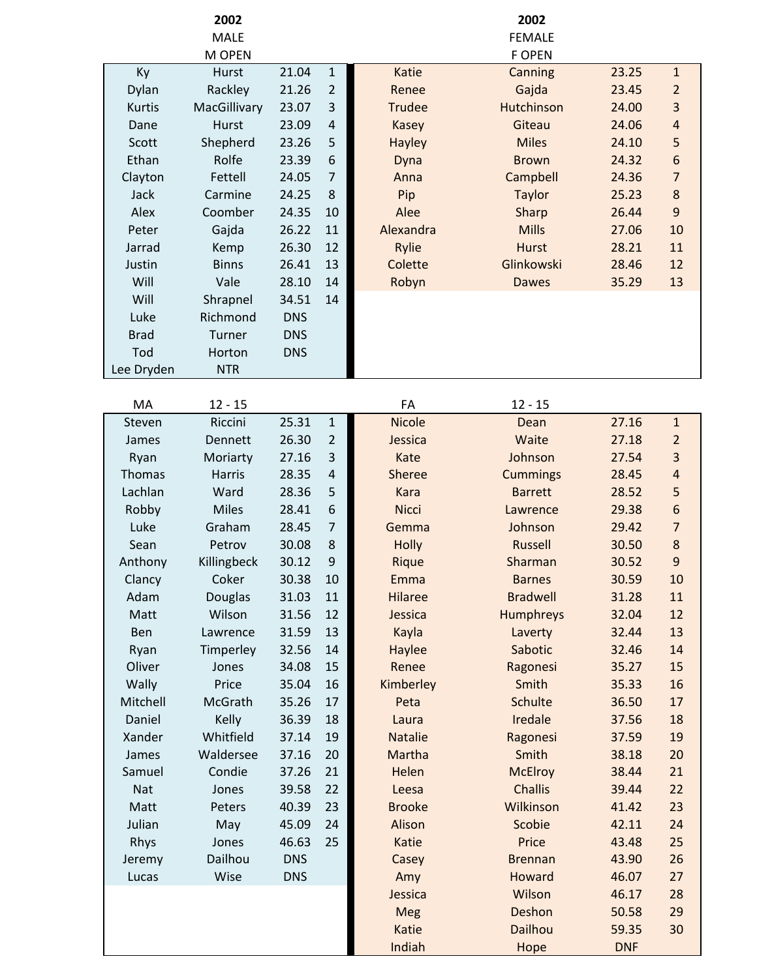|             | 2002          |            |                |                | 2002              |            |                |
|-------------|---------------|------------|----------------|----------------|-------------------|------------|----------------|
|             | <b>MALE</b>   |            |                |                | <b>FEMALE</b>     |            |                |
|             | M OPEN        |            |                |                | <b>F OPEN</b>     |            |                |
| Ky          | Hurst         | 21.04      | $\mathbf{1}$   | Katie          | Canning           | 23.25      | $\mathbf{1}$   |
| Dylan       | Rackley       | 21.26      | $\overline{2}$ | Renee          | Gajda             | 23.45      | $\overline{2}$ |
| Kurtis      | MacGillivary  | 23.07      | 3              | <b>Trudee</b>  | <b>Hutchinson</b> | 24.00      | 3              |
| Dane        | Hurst         | 23.09      | $\overline{4}$ | <b>Kasey</b>   | Giteau            | 24.06      | 4              |
| Scott       | Shepherd      | 23.26      | 5              | <b>Hayley</b>  | <b>Miles</b>      | 24.10      | 5              |
| Ethan       | Rolfe         | 23.39      | 6              | Dyna           | <b>Brown</b>      | 24.32      | 6              |
| Clayton     | Fettell       | 24.05      | $\overline{7}$ | Anna           | Campbell          | 24.36      | $\overline{7}$ |
| Jack        | Carmine       | 24.25      | 8              | Pip            | <b>Taylor</b>     | 25.23      | $\bf 8$        |
| Alex        | Coomber       | 24.35      | 10             | Alee           | Sharp             | 26.44      | 9              |
| Peter       | Gajda         | 26.22      | 11             | Alexandra      | <b>Mills</b>      | 27.06      | 10             |
| Jarrad      | Kemp          | 26.30      | 12             | Rylie          | <b>Hurst</b>      | 28.21      | 11             |
| Justin      | <b>Binns</b>  | 26.41      | 13             | Colette        | Glinkowski        | 28.46      | 12             |
| Will        | Vale          | 28.10      | 14             | Robyn          | <b>Dawes</b>      | 35.29      | 13             |
| Will        | Shrapnel      | 34.51      | 14             |                |                   |            |                |
| Luke        | Richmond      | <b>DNS</b> |                |                |                   |            |                |
| <b>Brad</b> | Turner        | <b>DNS</b> |                |                |                   |            |                |
| Tod         | Horton        | <b>DNS</b> |                |                |                   |            |                |
| Lee Dryden  | <b>NTR</b>    |            |                |                |                   |            |                |
|             |               |            |                |                |                   |            |                |
| MA          | $12 - 15$     |            |                | FA             | $12 - 15$         |            |                |
| Steven      | Riccini       | 25.31      | $\mathbf{1}$   | <b>Nicole</b>  | Dean              | 27.16      | $\mathbf{1}$   |
| James       | Dennett       | 26.30      | $\overline{2}$ | Jessica        | Waite             | 27.18      | $\overline{2}$ |
| Ryan        | Moriarty      | 27.16      | 3              | Kate           | Johnson           | 27.54      | 3              |
| Thomas      | <b>Harris</b> | 28.35      | $\overline{4}$ | <b>Sheree</b>  | <b>Cummings</b>   | 28.45      | 4              |
| Lachlan     | Ward          | 28.36      | 5              | <b>Kara</b>    | <b>Barrett</b>    | 28.52      | 5              |
| Robby       | <b>Miles</b>  | 28.41      | 6              | <b>Nicci</b>   | Lawrence          | 29.38      | 6              |
| Luke        | Graham        | 28.45      | $\overline{7}$ | Gemma          | Johnson           | 29.42      | $\overline{7}$ |
| Sean        | Petrov        | 30.08      | 8              | Holly          | <b>Russell</b>    | 30.50      | $\bf 8$        |
| Anthony     | Killingbeck   | 30.12      | 9              | Rique          | Sharman           | 30.52      | 9              |
| Clancy      | Coker         | 30.38      | 10             | Emma           | <b>Barnes</b>     | 30.59      | 10             |
| Adam        | Douglas       | 31.03      | 11             | <b>Hilaree</b> | <b>Bradwell</b>   | 31.28      | 11             |
| Matt        | Wilson        | 31.56      | 12             | Jessica        | Humphreys         | 32.04      | 12             |
| Ben         | Lawrence      | 31.59      | 13             | Kayla          | Laverty           | 32.44      | 13             |
| Ryan        | Timperley     | 32.56      | 14             | Haylee         | Sabotic           | 32.46      | 14             |
| Oliver      | Jones         | 34.08      | 15             | Renee          | Ragonesi          | 35.27      | 15             |
| Wally       | Price         | 35.04      | 16             | Kimberley      | Smith             | 35.33      | 16             |
| Mitchell    | McGrath       | 35.26      | 17             | Peta           | <b>Schulte</b>    | 36.50      | 17             |
| Daniel      | Kelly         | 36.39      | 18             | Laura          | Iredale           | 37.56      | 18             |
| Xander      | Whitfield     | 37.14      | 19             | <b>Natalie</b> | Ragonesi          | 37.59      | 19             |
| James       | Waldersee     | 37.16      | 20             | Martha         | Smith             | 38.18      | 20             |
| Samuel      | Condie        | 37.26      | 21             | Helen          | <b>McElroy</b>    | 38.44      | 21             |
| Nat         | Jones         | 39.58      | 22             | Leesa          | <b>Challis</b>    | 39.44      | 22             |
| Matt        | Peters        | 40.39      | 23             | <b>Brooke</b>  | Wilkinson         | 41.42      | 23             |
| Julian      | May           | 45.09      | 24             | Alison         | Scobie            | 42.11      | 24             |
| Rhys        | Jones         | 46.63      | 25             | Katie          | Price             | 43.48      | 25             |
| Jeremy      | Dailhou       | <b>DNS</b> |                | Casey          | <b>Brennan</b>    | 43.90      | 26             |
| Lucas       | Wise          | <b>DNS</b> |                | Amy            | <b>Howard</b>     | 46.07      | 27             |
|             |               |            |                | Jessica        | Wilson            | 46.17      | 28             |
|             |               |            |                | Meg            | Deshon            | 50.58      | 29             |
|             |               |            |                | Katie          | Dailhou           | 59.35      | 30             |
|             |               |            |                | Indiah         | Hope              | <b>DNF</b> |                |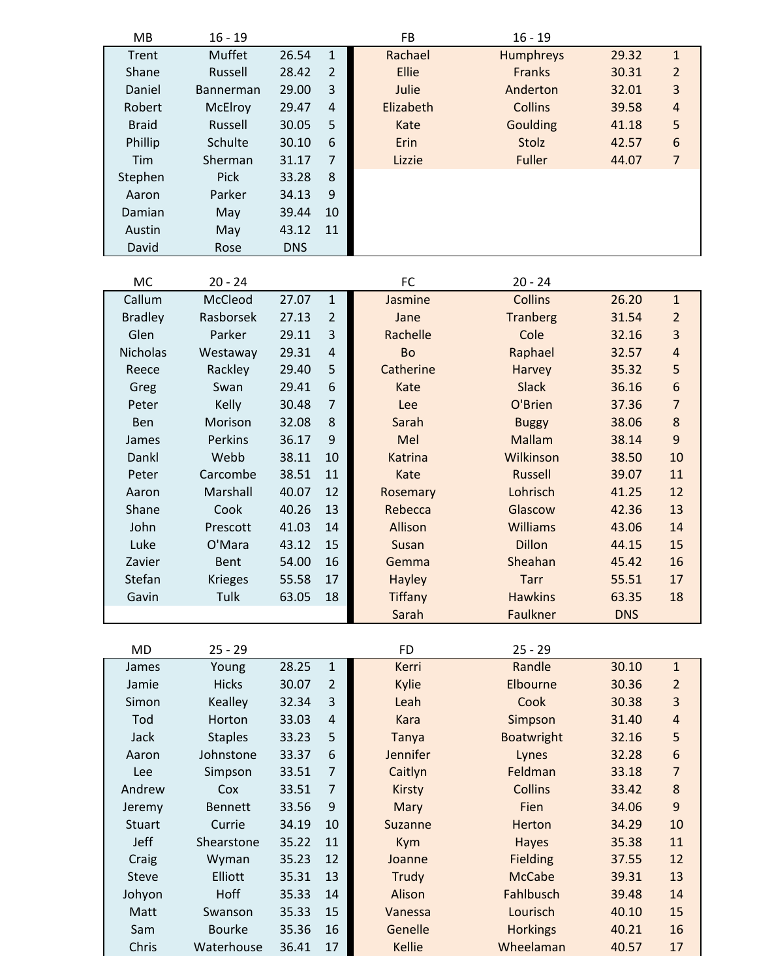| MB             | $16 - 19$      |            |                | FB             | $16 - 19$         |            |                         |
|----------------|----------------|------------|----------------|----------------|-------------------|------------|-------------------------|
| Trent          | Muffet         | 26.54      | $\mathbf{1}$   | Rachael        | Humphreys         | 29.32      | $\mathbf{1}$            |
| Shane          | Russell        | 28.42      | $\overline{2}$ | Ellie          | <b>Franks</b>     | 30.31      | $\overline{2}$          |
| Daniel         | Bannerman      | 29.00      | 3              | Julie          | Anderton          | 32.01      | 3                       |
| Robert         | McElroy        | 29.47      | $\overline{4}$ | Elizabeth      | <b>Collins</b>    | 39.58      | $\overline{\mathbf{r}}$ |
| <b>Braid</b>   | Russell        | 30.05      | 5              | Kate           | <b>Goulding</b>   | 41.18      | 5                       |
| Phillip        | Schulte        | 30.10      | 6              | Erin           | Stolz             | 42.57      | 6                       |
| Tim            | Sherman        | 31.17      | $\overline{7}$ | Lizzie         | Fuller            | 44.07      | $\overline{7}$          |
| Stephen        | Pick           | 33.28      | 8              |                |                   |            |                         |
| Aaron          | Parker         | 34.13      | 9              |                |                   |            |                         |
| Damian         | May            | 39.44      | 10             |                |                   |            |                         |
| Austin         | May            | 43.12      | 11             |                |                   |            |                         |
| David          | Rose           | <b>DNS</b> |                |                |                   |            |                         |
|                |                |            |                |                |                   |            |                         |
| MC             | $20 - 24$      |            |                | FC             | $20 - 24$         |            |                         |
| Callum         | McCleod        | 27.07      | $\mathbf 1$    | Jasmine        | <b>Collins</b>    | 26.20      | $\mathbf{1}$            |
| <b>Bradley</b> | Rasborsek      | 27.13      | $\overline{2}$ | Jane           | <b>Tranberg</b>   | 31.54      | $\overline{2}$          |
| Glen           | Parker         | 29.11      | 3              | Rachelle       | Cole              | 32.16      | 3                       |
| Nicholas       | Westaway       | 29.31      | $\overline{4}$ | Bo             | Raphael           | 32.57      | $\overline{\mathbf{r}}$ |
| Reece          | Rackley        | 29.40      | 5              | Catherine      | Harvey            | 35.32      | 5                       |
| Greg           | Swan           | 29.41      | 6              | Kate           | <b>Slack</b>      | 36.16      | 6                       |
| Peter          | Kelly          | 30.48      | $\overline{7}$ | Lee            | O'Brien           | 37.36      | $\overline{7}$          |
| Ben            | Morison        | 32.08      | 8              | Sarah          | <b>Buggy</b>      | 38.06      | $\bf 8$                 |
| James          | Perkins        | 36.17      | 9              | Mel            | <b>Mallam</b>     | 38.14      | $\overline{9}$          |
| Dankl          | Webb           | 38.11      | 10             | Katrina        | Wilkinson         | 38.50      | 10                      |
| Peter          | Carcombe       | 38.51      | 11             | Kate           | <b>Russell</b>    | 39.07      | 11                      |
| Aaron          | Marshall       | 40.07      | 12             | Rosemary       | Lohrisch          | 41.25      | 12                      |
| Shane          | Cook           | 40.26      | 13             | Rebecca        | Glascow           | 42.36      | 13                      |
| John           | Prescott       | 41.03      | 14             | Allison        | Williams          | 43.06      | 14                      |
| Luke           | O'Mara         | 43.12      | 15             | Susan          | <b>Dillon</b>     | 44.15      | 15                      |
| Zavier         | Bent           | 54.00      | 16             | Gemma          | Sheahan           | 45.42      | 16                      |
| Stefan         | <b>Krieges</b> | 55.58      | 17             | <b>Hayley</b>  | <b>Tarr</b>       | 55.51      | 17                      |
| Gavin          | Tulk           | 63.05      | 18             | <b>Tiffany</b> | <b>Hawkins</b>    | 63.35      | 18                      |
|                |                |            |                | Sarah          | Faulkner          | <b>DNS</b> |                         |
|                |                |            |                |                |                   |            |                         |
| <b>MD</b>      | $25 - 29$      |            |                | <b>FD</b>      | $25 - 29$         |            |                         |
| James          | Young          | 28.25      | $\mathbf 1$    | Kerri          | Randle            | 30.10      | $\mathbf{1}$            |
| Jamie          | <b>Hicks</b>   | 30.07      | $\overline{2}$ | Kylie          | Elbourne          | 30.36      | $\overline{2}$          |
| Simon          | Kealley        | 32.34      | 3              | Leah           | Cook              | 30.38      | 3                       |
| Tod            | Horton         | 33.03      | $\overline{a}$ | <b>Kara</b>    | Simpson           | 31.40      | 4                       |
| Jack           | <b>Staples</b> | 33.23      | 5              | Tanya          | <b>Boatwright</b> | 32.16      | 5                       |
| Aaron          | Johnstone      | 33.37      | 6              | Jennifer       | Lynes             | 32.28      | 6                       |
| Lee            | Simpson        | 33.51      | $\overline{7}$ | Caitlyn        | Feldman           | 33.18      | $\overline{7}$          |
| Andrew         | Cox            | 33.51      | $\overline{7}$ | <b>Kirsty</b>  | <b>Collins</b>    | 33.42      | 8                       |
| Jeremy         | <b>Bennett</b> | 33.56      | 9              | Mary           | Fien              | 34.06      | 9                       |
| <b>Stuart</b>  | Currie         | 34.19      | 10             | Suzanne        | Herton            | 34.29      | 10                      |
| Jeff           | Shearstone     | 35.22      | 11             | Kym            | <b>Hayes</b>      | 35.38      | 11                      |
| Craig          | Wyman          | 35.23      | 12             | Joanne         | Fielding          | 37.55      | 12                      |
| <b>Steve</b>   | Elliott        | 35.31      | 13             | <b>Trudy</b>   | <b>McCabe</b>     | 39.31      | 13                      |
| Johyon         | Hoff           | 35.33      | 14             | Alison         | Fahlbusch         | 39.48      | 14                      |
| Matt           | Swanson        | 35.33      | 15             | Vanessa        | Lourisch          | 40.10      | 15                      |
| Sam            | <b>Bourke</b>  | 35.36      | 16             | Genelle        | <b>Horkings</b>   | 40.21      | 16                      |
| Chris          | Waterhouse     | 36.41      | $17\,$         | Kellie         | Wheelaman         | 40.57      | 17                      |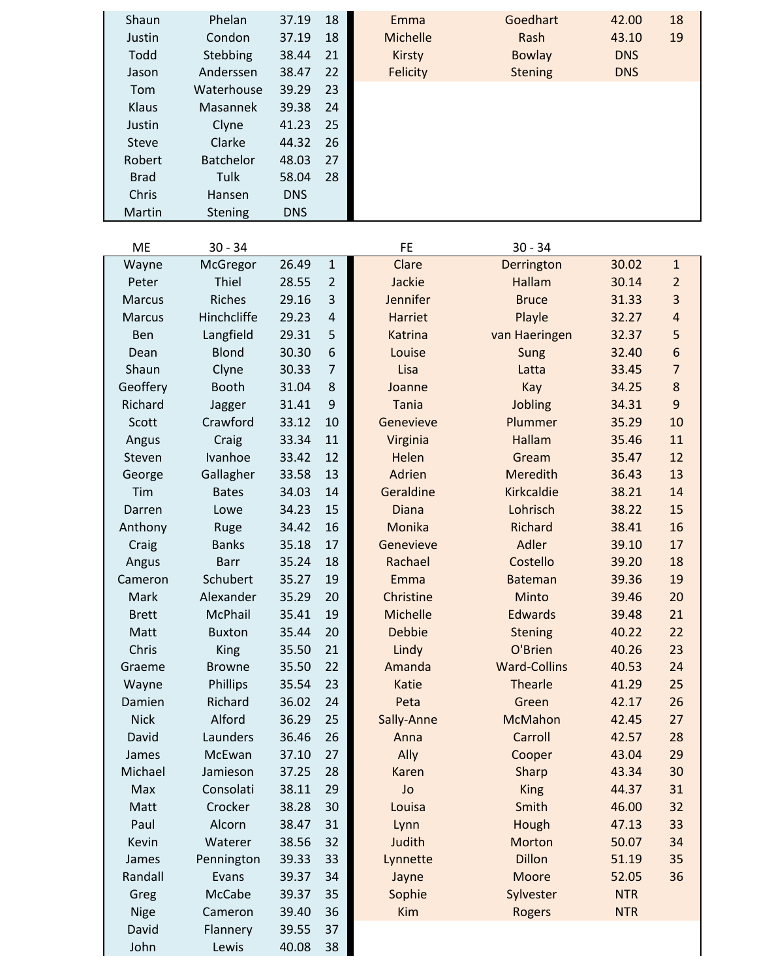| Shaun<br>Justin<br>Todd<br>Jason       | Phelan<br>Condon<br>Stebbing<br>Anderssen | 37.19<br>37.19<br>38.44<br>38.47 | 18<br>18<br>21<br>22 | Emma<br><b>Michelle</b><br><b>Kirsty</b><br><b>Felicity</b> | Goedhart<br>Rash<br><b>Bowlay</b><br><b>Stening</b> | 42.00<br>43.10<br><b>DNS</b><br><b>DNS</b> | 18<br>19       |
|----------------------------------------|-------------------------------------------|----------------------------------|----------------------|-------------------------------------------------------------|-----------------------------------------------------|--------------------------------------------|----------------|
| Tom<br>Klaus<br>Justin<br><b>Steve</b> | Waterhouse<br>Masannek<br>Clyne<br>Clarke | 39.29<br>39.38<br>41.23<br>44.32 | 23<br>24<br>25<br>26 |                                                             |                                                     |                                            |                |
| Robert<br><b>Brad</b>                  | Batchelor<br>Tulk                         | 48.03<br>58.04                   | 27<br>28             |                                                             |                                                     |                                            |                |
| Chris<br>Martin                        | Hansen<br>Stening                         | <b>DNS</b><br><b>DNS</b>         |                      |                                                             |                                                     |                                            |                |
|                                        |                                           |                                  |                      |                                                             |                                                     |                                            |                |
| <b>ME</b>                              | $30 - 34$                                 |                                  |                      | <b>FE</b>                                                   | $30 - 34$                                           |                                            |                |
| Wayne                                  | McGregor                                  | 26.49                            | $\mathbf 1$          | Clare                                                       | Derrington                                          | 30.02                                      | $\mathbf{1}$   |
| Peter                                  | Thiel                                     | 28.55                            | $\overline{2}$       | Jackie                                                      | <b>Hallam</b>                                       | 30.14                                      | $\overline{2}$ |
| <b>Marcus</b>                          | <b>Riches</b>                             | 29.16                            | 3                    | Jennifer                                                    | <b>Bruce</b>                                        | 31.33                                      | 3              |
| <b>Marcus</b>                          | Hinchcliffe                               | 29.23                            | $\overline{4}$       | <b>Harriet</b>                                              | Playle                                              | 32.27                                      | $\overline{a}$ |
| Ben                                    | Langfield                                 | 29.31                            | 5                    | <b>Katrina</b>                                              | van Haeringen                                       | 32.37                                      | 5              |
| Dean                                   | <b>Blond</b>                              | 30.30                            | $\sqrt{6}$           | Louise                                                      | Sung                                                | 32.40                                      | 6              |
| Shaun                                  | Clyne                                     | 30.33                            | $\overline{7}$       | Lisa                                                        | Latta                                               | 33.45                                      | $\overline{7}$ |
| Geoffery                               | <b>Booth</b>                              | 31.04                            | 8                    | Joanne                                                      | Kay                                                 | 34.25                                      | 8              |
| Richard                                | Jagger                                    | 31.41                            | $9$                  | <b>Tania</b>                                                | Jobling                                             | 34.31                                      | 9              |
| Scott                                  | Crawford                                  | 33.12                            | 10                   | Genevieve                                                   | Plummer                                             | 35.29                                      | 10             |
| Angus                                  | Craig                                     | 33.34                            | 11                   | Virginia                                                    | <b>Hallam</b>                                       | 35.46                                      | 11             |
| Steven                                 | Ivanhoe                                   | 33.42                            | 12                   | Helen                                                       | Gream                                               | 35.47                                      | 12             |
| George                                 | Gallagher                                 | 33.58                            | 13                   | Adrien                                                      | <b>Meredith</b>                                     | 36.43                                      | 13             |
| Tim                                    | <b>Bates</b>                              | 34.03                            | 14                   | Geraldine                                                   | <b>Kirkcaldie</b>                                   | 38.21                                      | 14             |
| Darren                                 | Lowe                                      | 34.23                            | 15                   | <b>Diana</b>                                                | Lohrisch                                            | 38.22                                      | 15             |
| Anthony                                | Ruge                                      | 34.42                            | 16                   | Monika                                                      | <b>Richard</b>                                      | 38.41                                      | 16             |
| Craig                                  | <b>Banks</b>                              | 35.18                            | 17                   | Genevieve                                                   | Adler                                               | 39.10                                      | 17             |
| Angus                                  | <b>Barr</b>                               | 35.24                            | 18                   | Rachael                                                     | Costello                                            | 39.20                                      | 18             |
| Cameron                                | Schubert                                  | 35.27                            | 19                   | Emma                                                        | <b>Bateman</b>                                      | 39.36                                      | 19             |
| Mark                                   | Alexander                                 | 35.29                            | 20                   | Christine                                                   | Minto                                               | 39.46                                      | 20             |
| <b>Brett</b>                           | McPhail                                   | 35.41                            | 19                   | Michelle                                                    | <b>Edwards</b>                                      | 39.48                                      | 21             |
| Matt                                   | <b>Buxton</b>                             | 35.44                            | 20                   | <b>Debbie</b>                                               | <b>Stening</b>                                      | 40.22                                      | 22             |
| Chris                                  | King                                      | 35.50                            | 21                   | Lindy                                                       | O'Brien                                             | 40.26                                      | 23             |
| Graeme                                 | <b>Browne</b>                             | 35.50                            | 22                   | Amanda                                                      | <b>Ward-Collins</b>                                 | 40.53                                      | 24             |
| Wayne                                  | Phillips                                  | 35.54                            | 23                   | <b>Katie</b>                                                | <b>Thearle</b>                                      | 41.29                                      | 25             |
| Damien                                 | Richard                                   | 36.02                            | 24                   | Peta                                                        | Green                                               | 42.17                                      | 26             |
| <b>Nick</b>                            | Alford                                    | 36.29                            | 25                   | Sally-Anne                                                  | <b>McMahon</b>                                      | 42.45                                      | 27             |
| David                                  | Launders                                  | 36.46                            | 26                   | Anna                                                        | Carroll                                             | 42.57                                      | 28             |
| James                                  | McEwan                                    | 37.10                            | 27                   | Ally                                                        | Cooper                                              | 43.04                                      | 29             |
| Michael                                | Jamieson                                  | 37.25                            | 28                   | Karen                                                       | Sharp                                               | 43.34                                      | 30             |
| Max                                    | Consolati                                 | 38.11                            | 29                   | Jo                                                          | <b>King</b>                                         | 44.37                                      | 31             |
| Matt                                   | Crocker                                   | 38.28                            | 30                   | Louisa                                                      | Smith                                               | 46.00                                      | 32             |
| Paul                                   | Alcorn                                    | 38.47                            | 31                   | Lynn                                                        | Hough                                               | 47.13                                      | 33             |
| Kevin                                  | Waterer                                   | 38.56                            | 32                   | Judith                                                      | Morton                                              | 50.07                                      | 34             |
| James                                  | Pennington                                | 39.33                            | 33                   | Lynnette                                                    | <b>Dillon</b>                                       | 51.19                                      | 35             |
| Randall                                | Evans                                     | 39.37                            | 34                   | Jayne                                                       | Moore                                               | 52.05                                      | 36             |
| Greg                                   | <b>McCabe</b>                             | 39.37                            | 35                   | Sophie                                                      | Sylvester                                           | <b>NTR</b>                                 |                |
| Nige                                   | Cameron                                   | 39.40                            | 36                   | Kim                                                         | Rogers                                              | <b>NTR</b>                                 |                |
| David                                  | Flannery                                  | 39.55                            | 37                   |                                                             |                                                     |                                            |                |
| John                                   | Lewis                                     | 40.08                            | 38                   |                                                             |                                                     |                                            |                |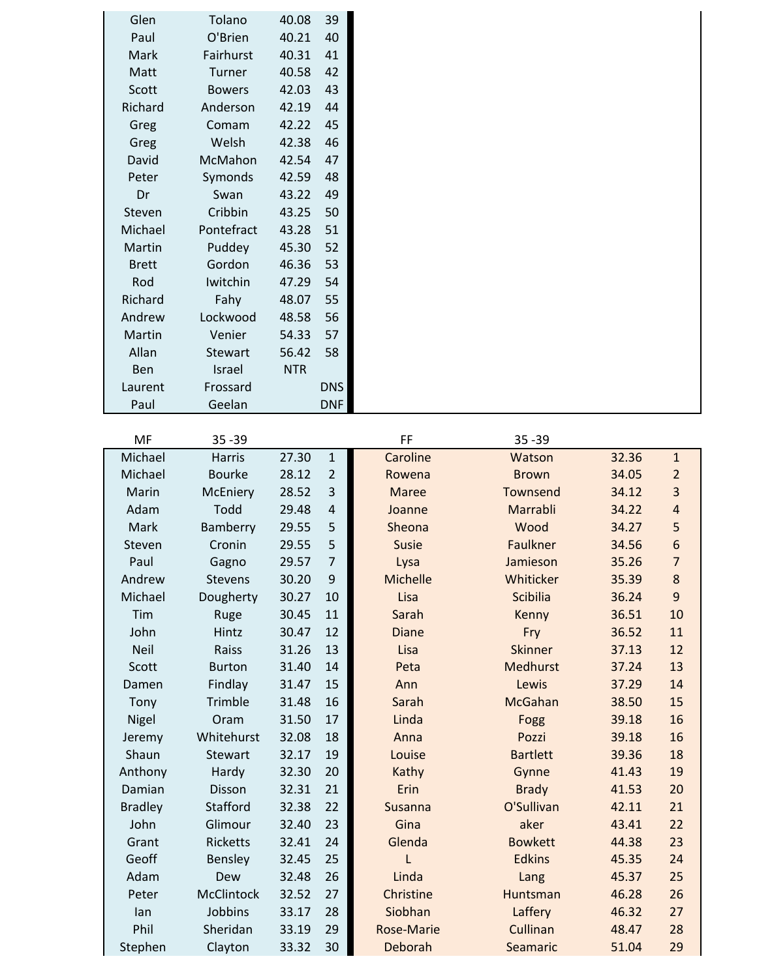| Glen         | Tolano        | 40.08      | 39         |  |
|--------------|---------------|------------|------------|--|
| Paul         | O'Brien       | 40.21      | 40         |  |
| Mark         | Fairhurst     | 40.31      | 41         |  |
| Matt         | Turner        | 40.58      | 42         |  |
| Scott        | <b>Bowers</b> | 42.03      | 43         |  |
| Richard      | Anderson      | 42.19      | 44         |  |
| Greg         | Comam         | 42.22      | 45         |  |
| Greg         | Welsh         | 42.38      | 46         |  |
| David        | McMahon       | 42.54      | 47         |  |
| Peter        | Symonds       | 42.59      | 48         |  |
| Dr           | Swan          | 43.22      | 49         |  |
| Steven       | Cribbin       | 43.25      | 50         |  |
| Michael      | Pontefract    | 43.28      | 51         |  |
| Martin       | Puddey        | 45.30      | 52         |  |
| <b>Brett</b> | Gordon        | 46.36      | 53         |  |
| Rod          | Iwitchin      | 47.29      | 54         |  |
| Richard      | Fahy          | 48.07      | 55         |  |
| Andrew       | Lockwood      | 48.58      | 56         |  |
| Martin       | Venier        | 54.33      | 57         |  |
| Allan        | Stewart       | 56.42      | 58         |  |
| Ben          | Israel        | <b>NTR</b> |            |  |
| Laurent      | Frossard      |            | <b>DNS</b> |  |
| Paul         | Geelan        |            | <b>DNF</b> |  |

| <b>MF</b>      | $35 - 39$       |       |                         | FF                | $35 - 39$       |       |                         |
|----------------|-----------------|-------|-------------------------|-------------------|-----------------|-------|-------------------------|
| Michael        | <b>Harris</b>   | 27.30 | $\mathbf{1}$            | Caroline          | Watson          | 32.36 | $\mathbf{1}$            |
| Michael        | <b>Bourke</b>   | 28.12 | $\overline{2}$          | Rowena            | <b>Brown</b>    | 34.05 | $\overline{2}$          |
| Marin          | McEniery        | 28.52 | $\overline{\mathbf{3}}$ | <b>Maree</b>      | Townsend        | 34.12 | $\overline{\mathbf{3}}$ |
| Adam           | Todd            | 29.48 | $\overline{4}$          | Joanne            | Marrabli        | 34.22 | $\overline{\mathbf{r}}$ |
| Mark           | Bamberry        | 29.55 | 5                       | Sheona            | Wood            | 34.27 | 5                       |
| Steven         | Cronin          | 29.55 | 5                       | <b>Susie</b>      | Faulkner        | 34.56 | 6                       |
| Paul           | Gagno           | 29.57 | $\overline{7}$          | Lysa              | Jamieson        | 35.26 | $\overline{7}$          |
| Andrew         | <b>Stevens</b>  | 30.20 | 9                       | Michelle          | Whiticker       | 35.39 | 8                       |
| Michael        | Dougherty       | 30.27 | 10                      | Lisa              | Scibilia        | 36.24 | $\boldsymbol{9}$        |
| Tim            | Ruge            | 30.45 | 11                      | Sarah             | Kenny           | 36.51 | 10                      |
| John           | Hintz           | 30.47 | 12                      | <b>Diane</b>      | Fry             | 36.52 | 11                      |
| <b>Neil</b>    | Raiss           | 31.26 | 13                      | Lisa              | <b>Skinner</b>  | 37.13 | 12                      |
| Scott          | <b>Burton</b>   | 31.40 | 14                      | Peta              | Medhurst        | 37.24 | 13                      |
| Damen          | Findlay         | 31.47 | 15                      | Ann               | Lewis           | 37.29 | 14                      |
| Tony           | Trimble         | 31.48 | 16                      | Sarah             | <b>McGahan</b>  | 38.50 | 15                      |
| Nigel          | Oram            | 31.50 | 17                      | Linda             | Fogg            | 39.18 | 16                      |
| Jeremy         | Whitehurst      | 32.08 | 18                      | Anna              | Pozzi           | 39.18 | 16                      |
| Shaun          | <b>Stewart</b>  | 32.17 | 19                      | Louise            | <b>Bartlett</b> | 39.36 | 18                      |
| Anthony        | Hardy           | 32.30 | 20                      | Kathy             | Gynne           | 41.43 | 19                      |
| Damian         | Disson          | 32.31 | 21                      | Erin              | <b>Brady</b>    | 41.53 | 20                      |
| <b>Bradley</b> | Stafford        | 32.38 | 22                      | Susanna           | O'Sullivan      | 42.11 | 21                      |
| John           | Glimour         | 32.40 | 23                      | Gina              | aker            | 43.41 | 22                      |
| Grant          | <b>Ricketts</b> | 32.41 | 24                      | Glenda            | <b>Bowkett</b>  | 44.38 | 23                      |
| Geoff          | Bensley         | 32.45 | 25                      | L                 | <b>Edkins</b>   | 45.35 | 24                      |
| Adam           | Dew             | 32.48 | 26                      | Linda             | Lang            | 45.37 | 25                      |
| Peter          | McClintock      | 32.52 | 27                      | Christine         | Huntsman        | 46.28 | 26                      |
| lan            | Jobbins         | 33.17 | 28                      | Siobhan           | Laffery         | 46.32 | 27                      |
| Phil           | Sheridan        | 33.19 | 29                      | <b>Rose-Marie</b> | Cullinan        | 48.47 | 28                      |
| Stephen        | Clayton         | 33.32 | 30                      | Deborah           | Seamaric        | 51.04 | 29                      |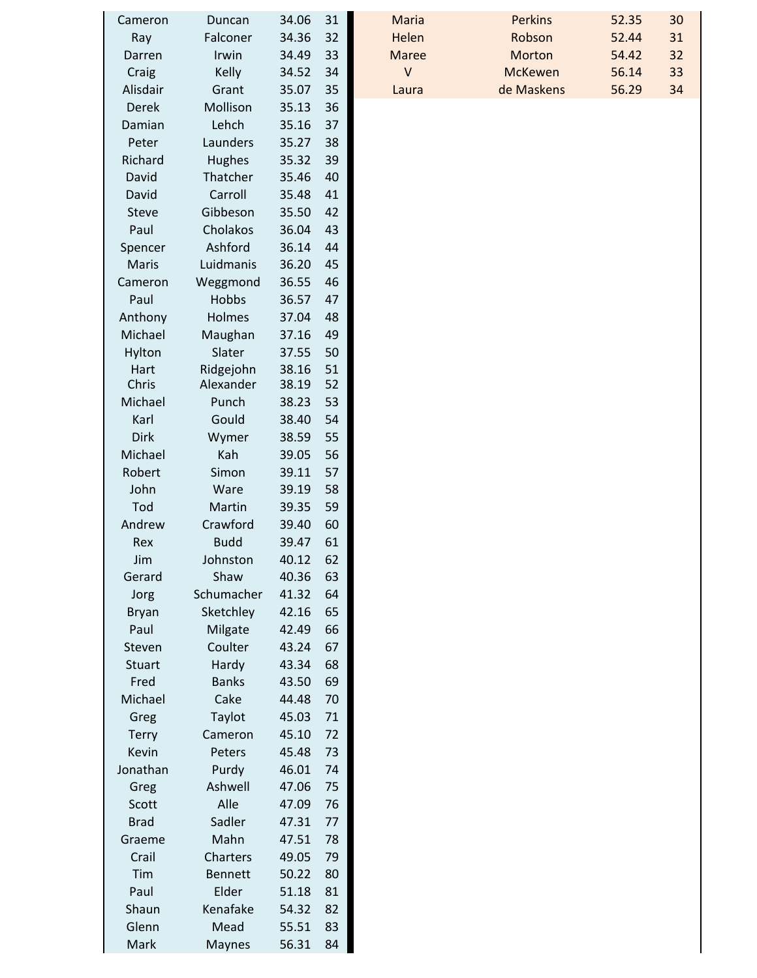| Cameron       | Duncan         | 34.06 | 31 | Maria        | <b>Perkins</b> | 52.35 | 30 |
|---------------|----------------|-------|----|--------------|----------------|-------|----|
| Ray           | Falconer       | 34.36 | 32 | Helen        | Robson         | 52.44 | 31 |
| Darren        | Irwin          | 34.49 | 33 | <b>Maree</b> | Morton         | 54.42 | 32 |
| Craig         | Kelly          | 34.52 | 34 | $\vee$       | <b>McKewen</b> | 56.14 | 33 |
| Alisdair      | Grant          | 35.07 | 35 | Laura        | de Maskens     | 56.29 | 34 |
| <b>Derek</b>  | Mollison       | 35.13 | 36 |              |                |       |    |
| Damian        | Lehch          | 35.16 | 37 |              |                |       |    |
| Peter         | Launders       | 35.27 | 38 |              |                |       |    |
| Richard       | Hughes         | 35.32 | 39 |              |                |       |    |
| David         | Thatcher       | 35.46 | 40 |              |                |       |    |
| David         | Carroll        | 35.48 | 41 |              |                |       |    |
| <b>Steve</b>  | Gibbeson       | 35.50 | 42 |              |                |       |    |
| Paul          | Cholakos       | 36.04 | 43 |              |                |       |    |
| Spencer       | Ashford        | 36.14 | 44 |              |                |       |    |
| Maris         | Luidmanis      | 36.20 | 45 |              |                |       |    |
| Cameron       | Weggmond       | 36.55 | 46 |              |                |       |    |
| Paul          | Hobbs          | 36.57 | 47 |              |                |       |    |
| Anthony       | Holmes         | 37.04 | 48 |              |                |       |    |
| Michael       | Maughan        | 37.16 | 49 |              |                |       |    |
| Hylton        | Slater         | 37.55 | 50 |              |                |       |    |
| Hart          | Ridgejohn      | 38.16 | 51 |              |                |       |    |
| Chris         | Alexander      | 38.19 | 52 |              |                |       |    |
| Michael       | Punch          | 38.23 | 53 |              |                |       |    |
| Karl          | Gould          | 38.40 | 54 |              |                |       |    |
| Dirk          | Wymer          | 38.59 | 55 |              |                |       |    |
| Michael       | Kah            | 39.05 | 56 |              |                |       |    |
| Robert        | Simon          | 39.11 | 57 |              |                |       |    |
| John          | Ware           | 39.19 | 58 |              |                |       |    |
| Tod           | Martin         | 39.35 | 59 |              |                |       |    |
| Andrew        | Crawford       | 39.40 | 60 |              |                |       |    |
| Rex           | <b>Budd</b>    | 39.47 | 61 |              |                |       |    |
| Jim           | Johnston       | 40.12 | 62 |              |                |       |    |
| Gerard        | Shaw           | 40.36 | 63 |              |                |       |    |
| Jorg          | Schumacher     | 41.32 | 64 |              |                |       |    |
| Bryan         | Sketchley      | 42.16 | 65 |              |                |       |    |
| Paul          | Milgate        | 42.49 | 66 |              |                |       |    |
| Steven        | Coulter        | 43.24 | 67 |              |                |       |    |
| <b>Stuart</b> | Hardy          | 43.34 | 68 |              |                |       |    |
| Fred          | <b>Banks</b>   | 43.50 | 69 |              |                |       |    |
| Michael       | Cake           | 44.48 | 70 |              |                |       |    |
| Greg          | Taylot         | 45.03 | 71 |              |                |       |    |
| <b>Terry</b>  | Cameron        | 45.10 | 72 |              |                |       |    |
| Kevin         | Peters         | 45.48 | 73 |              |                |       |    |
| Jonathan      | Purdy          | 46.01 | 74 |              |                |       |    |
| Greg          | Ashwell        | 47.06 | 75 |              |                |       |    |
| Scott         | Alle           | 47.09 | 76 |              |                |       |    |
| <b>Brad</b>   | Sadler         | 47.31 | 77 |              |                |       |    |
| Graeme        | Mahn           | 47.51 | 78 |              |                |       |    |
| Crail         | Charters       | 49.05 | 79 |              |                |       |    |
| Tim           | <b>Bennett</b> | 50.22 | 80 |              |                |       |    |
| Paul          | Elder          | 51.18 | 81 |              |                |       |    |
| Shaun         | Kenafake       | 54.32 | 82 |              |                |       |    |
| Glenn         | Mead           | 55.51 | 83 |              |                |       |    |
| Mark          | Maynes         | 56.31 | 84 |              |                |       |    |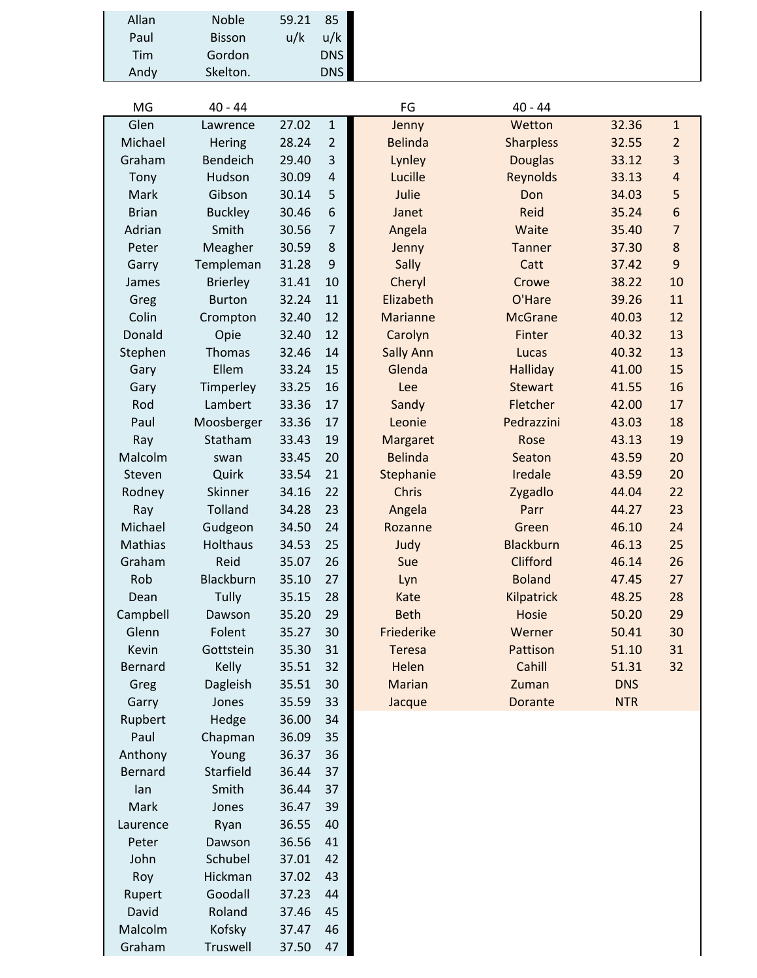| Allan | <b>Noble</b>  | 59.21 | 85         |  |
|-------|---------------|-------|------------|--|
| Paul  | <b>Bisson</b> | u/k   | u/k        |  |
| Tim   | Gordon        |       | <b>DNS</b> |  |
| Andy  | Skelton.      |       | <b>DNS</b> |  |
|       |               |       |            |  |

Rupert Goodall 37.23 44<br>David Roland 37.46 45

Malcolm Kofsky 37.47 46<br>Graham Truswell 37.50 47 Truswell

Roland 37.46 45<br>Kofsky 37.47 46

| MG             | $40 - 44$       |       |                | FG               | $40 - 44$         |            |                  |
|----------------|-----------------|-------|----------------|------------------|-------------------|------------|------------------|
| Glen           | Lawrence        | 27.02 | $\mathbf 1$    | Jenny            | Wetton            | 32.36      | $\mathbf{1}$     |
| Michael        | Hering          | 28.24 | $\overline{2}$ | <b>Belinda</b>   | <b>Sharpless</b>  | 32.55      | $\overline{2}$   |
| Graham         | Bendeich        | 29.40 | 3              | Lynley           | <b>Douglas</b>    | 33.12      | $\overline{3}$   |
| Tony           | Hudson          | 30.09 | $\overline{4}$ | Lucille          | Reynolds          | 33.13      | $\overline{4}$   |
| Mark           | Gibson          | 30.14 | 5              | Julie            | Don               | 34.03      | 5                |
| <b>Brian</b>   | <b>Buckley</b>  | 30.46 | 6              | Janet            | Reid              | 35.24      | $\boldsymbol{6}$ |
| Adrian         | Smith           | 30.56 | $\overline{7}$ | Angela           | Waite             | 35.40      | $\overline{7}$   |
| Peter          | Meagher         | 30.59 | 8              | Jenny            | <b>Tanner</b>     | 37.30      | 8                |
| Garry          | Templeman       | 31.28 | $9\,$          | Sally            | Catt              | 37.42      | 9                |
| James          | <b>Brierley</b> | 31.41 | 10             | Cheryl           | Crowe             | 38.22      | 10               |
| Greg           | <b>Burton</b>   | 32.24 | 11             | Elizabeth        | O'Hare            | 39.26      | 11               |
| Colin          | Crompton        | 32.40 | 12             | <b>Marianne</b>  | <b>McGrane</b>    | 40.03      | 12               |
| Donald         | Opie            | 32.40 | 12             | Carolyn          | Finter            | 40.32      | 13               |
| Stephen        | Thomas          | 32.46 | 14             | <b>Sally Ann</b> | Lucas             | 40.32      | 13               |
| Gary           | Ellem           | 33.24 | 15             | Glenda           | <b>Halliday</b>   | 41.00      | 15               |
| Gary           | Timperley       | 33.25 | 16             | Lee              | <b>Stewart</b>    | 41.55      | 16               |
| Rod            | Lambert         | 33.36 | 17             | Sandy            | Fletcher          | 42.00      | 17               |
| Paul           | Moosberger      | 33.36 | 17             | Leonie           | Pedrazzini        | 43.03      | 18               |
| Ray            | Statham         | 33.43 | 19             | Margaret         | Rose              | 43.13      | 19               |
| Malcolm        | swan            | 33.45 | 20             | <b>Belinda</b>   | Seaton            | 43.59      | 20               |
| Steven         | Quirk           | 33.54 | 21             | Stephanie        | Iredale           | 43.59      | 20               |
| Rodney         | Skinner         | 34.16 | 22             | Chris            | Zygadlo           | 44.04      | 22               |
| Ray            | Tolland         | 34.28 | 23             | Angela           | Parr              | 44.27      | 23               |
| Michael        | Gudgeon         | 34.50 | 24             | Rozanne          | Green             | 46.10      | 24               |
| Mathias        | Holthaus        | 34.53 | 25             | Judy             | <b>Blackburn</b>  | 46.13      | 25               |
| Graham         | Reid            | 35.07 | 26             | Sue              | Clifford          | 46.14      | 26               |
| Rob            | Blackburn       | 35.10 | 27             | Lyn              | <b>Boland</b>     | 47.45      | 27               |
| Dean           | Tully           | 35.15 | 28             | Kate             | <b>Kilpatrick</b> | 48.25      | 28               |
| Campbell       | Dawson          | 35.20 | 29             | <b>Beth</b>      | <b>Hosie</b>      | 50.20      | 29               |
| Glenn          | Folent          | 35.27 | 30             | Friederike       | Werner            | 50.41      | 30               |
| Kevin          | Gottstein       | 35.30 | 31             | <b>Teresa</b>    | Pattison          | 51.10      | 31               |
| <b>Bernard</b> | Kelly           | 35.51 | 32             | Helen            | Cahill            | 51.31      | 32               |
| Greg           | Dagleish        | 35.51 | 30             | Marian           | Zuman             | <b>DNS</b> |                  |
| Garry          | Jones           | 35.59 | 33             | Jacque           | Dorante           | <b>NTR</b> |                  |
| Rupbert        | Hedge           | 36.00 | 34             |                  |                   |            |                  |
| Paul           | Chapman         | 36.09 | 35             |                  |                   |            |                  |
| Anthony        | Young           | 36.37 | 36             |                  |                   |            |                  |
| Bernard        | Starfield       | 36.44 | 37             |                  |                   |            |                  |
| lan            | Smith           | 36.44 | 37             |                  |                   |            |                  |
| Mark           | Jones           | 36.47 | 39             |                  |                   |            |                  |
| Laurence       | Ryan            | 36.55 | 40             |                  |                   |            |                  |
| Peter          | Dawson          | 36.56 | 41             |                  |                   |            |                  |
| John           | Schubel         | 37.01 | 42             |                  |                   |            |                  |
| Roy            | Hickman         | 37.02 | 43             |                  |                   |            |                  |
| Rupert         | Goodall         | 37.23 | 44             |                  |                   |            |                  |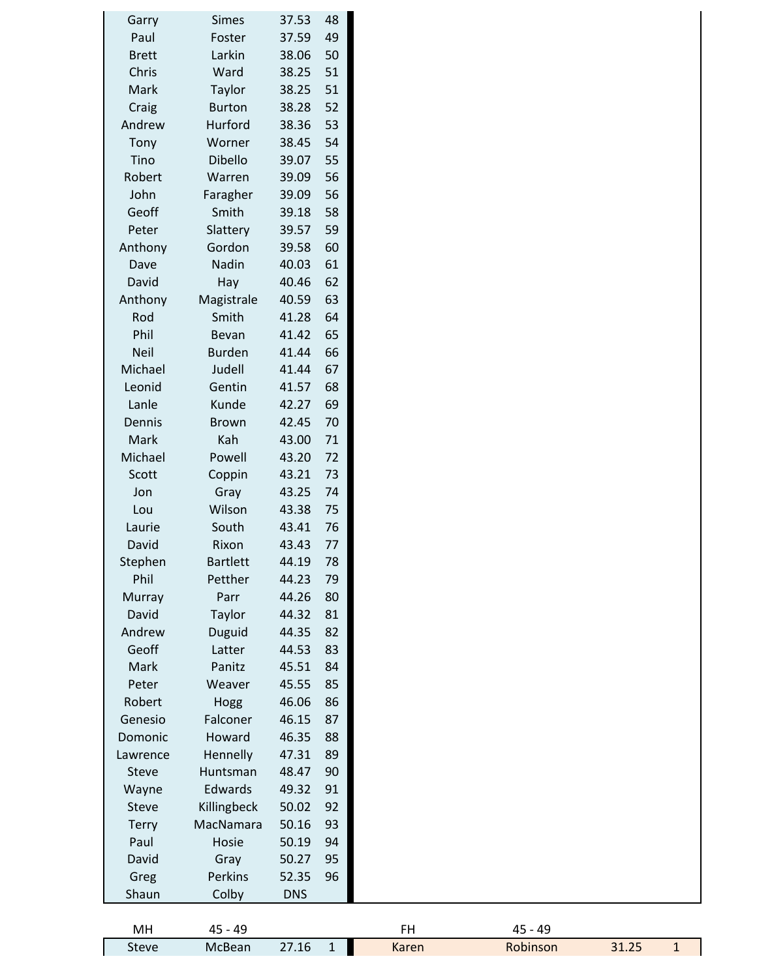| Garry        | <b>Simes</b>    | 37.53      | 48           |
|--------------|-----------------|------------|--------------|
| Paul         | Foster          | 37.59      | 49           |
| <b>Brett</b> | Larkin          | 38.06      | 50           |
| Chris        | Ward            | 38.25      | 51           |
| Mark         | Taylor          | 38.25      | 51           |
| Craig        | <b>Burton</b>   | 38.28      | 52           |
| Andrew       | Hurford         | 38.36      | 53           |
| Tony         | Worner          | 38.45      | 54           |
| Tino         | Dibello         | 39.07      | 55           |
| Robert       | Warren          | 39.09      | 56           |
| John         | Faragher        | 39.09      | 56           |
| Geoff        | Smith           | 39.18      | 58           |
| Peter        | Slattery        | 39.57      | 59           |
| Anthony      | Gordon          | 39.58      | 60           |
| Dave         | Nadin           | 40.03      | 61           |
| David        | Hay             | 40.46      | 62           |
| Anthony      | Magistrale      | 40.59      | 63           |
| Rod          | Smith           | 41.28      | 64           |
| Phil         | Bevan           | 41.42      | 65           |
| <b>Neil</b>  | <b>Burden</b>   | 41.44      | 66           |
| Michael      | Judell          | 41.44      | 67           |
| Leonid       | Gentin          | 41.57      | 68           |
| Lanle        | Kunde           | 42.27      | 69           |
| Dennis       | <b>Brown</b>    | 42.45      | 70           |
| Mark         | Kah             | 43.00      | 71           |
| Michael      | Powell          | 43.20      | 72           |
| Scott        | Coppin          | 43.21      | 73           |
| Jon          | Gray            | 43.25      | 74           |
| Lou          | Wilson          | 43.38      | 75           |
| Laurie       | South           | 43.41      | 76           |
|              | Rixon           | 43.43      |              |
| David        | <b>Bartlett</b> |            | 77           |
| Stephen      |                 | 44.19      | 78           |
| Phil         | Petther         | 44.23      | 79           |
| Murray       | Parr            | 44.26      | 80           |
| David        | Taylor          | 44.32      | 81           |
| Andrew       | Duguid          | 44.35      | 82           |
| Geoff        | Latter          | 44.53      | 83           |
| Mark         | Panitz          | 45.51      | 84           |
| Peter        | Weaver          | 45.55      | 85           |
| Robert       | Hogg            | 46.06      | 86           |
| Genesio      | Falconer        | 46.15      | 87           |
| Domonic      | Howard          | 46.35      | 88           |
| Lawrence     | Hennelly        | 47.31      | 89           |
| <b>Steve</b> | Huntsman        | 48.47      | 90           |
| Wayne        | Edwards         | 49.32      | 91           |
| <b>Steve</b> | Killingbeck     | 50.02      | 92           |
| <b>Terry</b> | MacNamara       | 50.16      | 93           |
| Paul         | Hosie           | 50.19      | 94           |
| David        | Gray            | 50.27      | 95           |
| Greg         | Perkins         | 52.35      | 96           |
| Shaun        | Colby           | <b>DNS</b> |              |
|              |                 |            |              |
| MH           | $45 - 49$       |            |              |
| <b>Steve</b> | McBean          | 27.16      | $\mathbf{1}$ |

1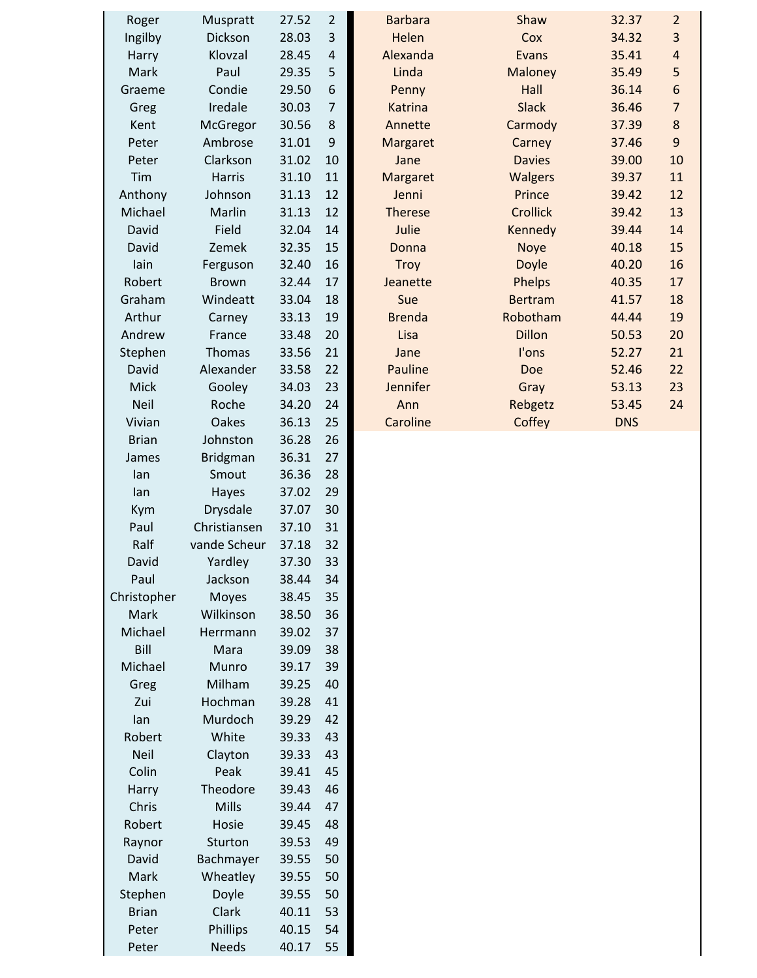| Roger        | Muspratt        | 27.52 | 2  |  |
|--------------|-----------------|-------|----|--|
| Ingilby      | Dickson         | 28.03 | 3  |  |
| Harry        | Klovzal         | 28.45 | 4  |  |
| Mark         | Paul            | 29.35 | 5  |  |
| Graeme       | Condie          | 29.50 | 6  |  |
| Greg         | Iredale         | 30.03 | 7  |  |
| Kent         | McGregor        | 30.56 | 8  |  |
| Peter        | Ambrose         | 31.01 | 9  |  |
| Peter        | Clarkson        | 31.02 | 10 |  |
| Tim          | <b>Harris</b>   | 31.10 | 11 |  |
| Anthony      | Johnson         | 31.13 | 12 |  |
| Michael      | Marlin          | 31.13 | 12 |  |
| David        | Field           | 32.04 | 14 |  |
| David        | Zemek           | 32.35 | 15 |  |
| lain         | Ferguson        | 32.40 | 16 |  |
| Robert       | <b>Brown</b>    | 32.44 | 17 |  |
| Graham       | Windeatt        | 33.04 | 18 |  |
| Arthur       |                 | 33.13 | 19 |  |
| Andrew       | Carney          |       |    |  |
|              | France          | 33.48 | 20 |  |
| Stephen      | Thomas          | 33.56 | 21 |  |
| David        | Alexander       | 33.58 | 22 |  |
| Mick         | Gooley          | 34.03 | 23 |  |
| <b>Neil</b>  | Roche           | 34.20 | 24 |  |
| Vivian       | <b>Oakes</b>    | 36.13 | 25 |  |
| <b>Brian</b> | Johnston        | 36.28 | 26 |  |
| James        | <b>Bridgman</b> | 36.31 | 27 |  |
| lan          | Smout           | 36.36 | 28 |  |
| lan          | Hayes           | 37.02 | 29 |  |
| Kym          | <b>Drysdale</b> | 37.07 | 30 |  |
| Paul         | Christiansen    | 37.10 | 31 |  |
| Ralf         | vande Scheur    | 37.18 | 32 |  |
| David        | Yardley         | 37.30 | 33 |  |
| Paul         | Jackson         | 38.44 | 34 |  |
| Christopher  | <b>Moyes</b>    | 38.45 | 35 |  |
| Mark         | Wilkinson       | 38.50 | 36 |  |
| Michael      | Herrmann        | 39.02 | 37 |  |
| Bill         | Mara            | 39.09 | 38 |  |
| Michael      | Munro           | 39.17 | 39 |  |
| Greg         | Milham          | 39.25 | 40 |  |
| Zui          | Hochman         | 39.28 | 41 |  |
| lan          | Murdoch         | 39.29 | 42 |  |
| Robert       | White           | 39.33 | 43 |  |
| <b>Neil</b>  | Clayton         | 39.33 | 43 |  |
| Colin        | Peak            | 39.41 | 45 |  |
| Harry        | Theodore        | 39.43 | 46 |  |
| Chris        | Mills           | 39.44 | 47 |  |
| Robert       | Hosie           | 39.45 | 48 |  |
| Raynor       | Sturton         | 39.53 | 49 |  |
| David        | Bachmayer       | 39.55 | 50 |  |
| Mark         | Wheatley        | 39.55 | 50 |  |
| Stephen      | Doyle           | 39.55 | 50 |  |
| <b>Brian</b> | Clark           | 40.11 | 53 |  |
| Peter        | Phillips        | 40.15 | 54 |  |
| Peter        | <b>Needs</b>    | 40.17 | 55 |  |

| Roger       | Muspratt      | 27.52 | 2              | <b>Barbara</b> | Shaw            | 32.37      | $\overline{2}$ |
|-------------|---------------|-------|----------------|----------------|-----------------|------------|----------------|
| Ingilby     | Dickson       | 28.03 | 3              | Helen          | Cox             | 34.32      | 3              |
| Harry       | Klovzal       | 28.45 | 4              | Alexanda       | Evans           | 35.41      | 4              |
| Mark        | Paul          | 29.35 | 5              | Linda          | Maloney         | 35.49      | 5              |
| Graeme      | Condie        | 29.50 | 6              | Penny          | Hall            | 36.14      | 6              |
| Greg        | Iredale       | 30.03 | $\overline{7}$ | Katrina        | <b>Slack</b>    | 36.46      | $\overline{7}$ |
| Kent        | McGregor      | 30.56 | 8              | Annette        | Carmody         | 37.39      | $\bf 8$        |
| Peter       | Ambrose       | 31.01 | 9              | Margaret       | Carney          | 37.46      | 9              |
| Peter       | Clarkson      | 31.02 | 10             | Jane           | <b>Davies</b>   | 39.00      | 10             |
| Tim         | <b>Harris</b> | 31.10 | 11             | Margaret       | <b>Walgers</b>  | 39.37      | 11             |
| Anthony     | Johnson       | 31.13 | 12             | Jenni          | Prince          | 39.42      | 12             |
| Michael     | Marlin        | 31.13 | 12             | <b>Therese</b> | <b>Crollick</b> | 39.42      | 13             |
| David       | Field         | 32.04 | 14             | Julie          | Kennedy         | 39.44      | 14             |
| David       | Zemek         | 32.35 | 15             | Donna          | <b>Noye</b>     | 40.18      | 15             |
| lain        | Ferguson      | 32.40 | 16             | <b>Troy</b>    | Doyle           | 40.20      | 16             |
| Robert      | <b>Brown</b>  | 32.44 | 17             | Jeanette       | Phelps          | 40.35      | 17             |
| Graham      | Windeatt      | 33.04 | 18             | Sue            | <b>Bertram</b>  | 41.57      | 18             |
| Arthur      | Carney        | 33.13 | 19             | <b>Brenda</b>  | Robotham        | 44.44      | 19             |
| Andrew      | France        | 33.48 | 20             | Lisa           | <b>Dillon</b>   | 50.53      | 20             |
| Stephen     | <b>Thomas</b> | 33.56 | 21             | Jane           | I'ons           | 52.27      | 21             |
| David       | Alexander     | 33.58 | 22             | Pauline        | Doe             | 52.46      | 22             |
| Mick        | Gooley        | 34.03 | 23             | Jennifer       | Gray            | 53.13      | 23             |
| <b>Neil</b> | Roche         | 34.20 | 24             | Ann            | Rebgetz         | 53.45      | 24             |
| Vivian      | Oakes         | 36.13 | 25             | Caroline       | Coffey          | <b>DNS</b> |                |
|             |               |       |                |                |                 |            |                |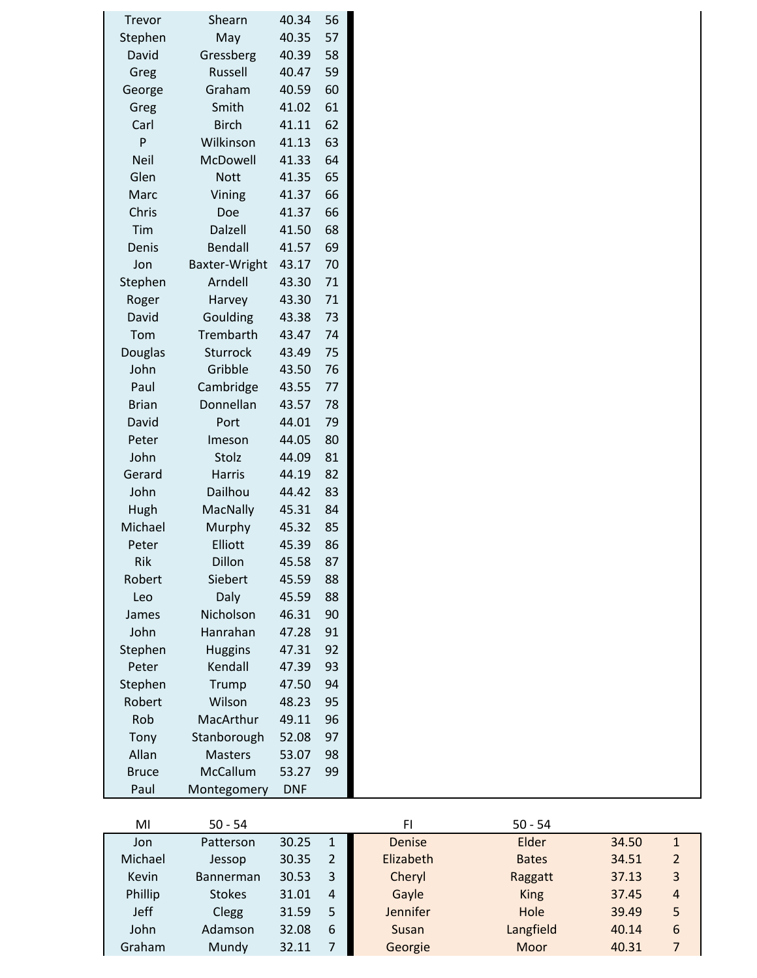| 57<br>May<br>40.35<br>Stephen<br>David<br>Gressberg<br>40.39<br>58<br>Russell<br>40.47<br>59<br>Greg<br>Graham<br>40.59<br>60<br>George<br>Smith<br>41.02<br>61<br>Greg<br><b>Birch</b><br>41.11<br>62<br>Carl<br>P<br>Wilkinson<br>41.13<br>63<br><b>Neil</b><br>McDowell<br>64<br>41.33<br>Glen<br>41.35<br>65<br><b>Nott</b><br>66<br>Marc<br>Vining<br>41.37<br>Chris<br>Doe<br>41.37<br>66<br>Tim<br>Dalzell<br>68<br>41.50<br>Denis<br><b>Bendall</b><br>41.57<br>69<br>Baxter-Wright<br>70<br>Jon<br>43.17<br>Arndell<br>71<br>Stephen<br>43.30<br>Roger<br>Harvey<br>43.30<br>71<br>David<br>Goulding<br>73<br>43.38<br>Trembarth<br>43.47<br>74<br>Tom<br><b>Sturrock</b><br>75<br>Douglas<br>43.49<br>John<br>Gribble<br>76<br>43.50<br>Cambridge<br>Paul<br>43.55<br>77<br>Donnellan<br><b>Brian</b><br>43.57<br>78<br>79<br>David<br>Port<br>44.01 |
|----------------------------------------------------------------------------------------------------------------------------------------------------------------------------------------------------------------------------------------------------------------------------------------------------------------------------------------------------------------------------------------------------------------------------------------------------------------------------------------------------------------------------------------------------------------------------------------------------------------------------------------------------------------------------------------------------------------------------------------------------------------------------------------------------------------------------------------------------------------|
|                                                                                                                                                                                                                                                                                                                                                                                                                                                                                                                                                                                                                                                                                                                                                                                                                                                                |
|                                                                                                                                                                                                                                                                                                                                                                                                                                                                                                                                                                                                                                                                                                                                                                                                                                                                |
|                                                                                                                                                                                                                                                                                                                                                                                                                                                                                                                                                                                                                                                                                                                                                                                                                                                                |
|                                                                                                                                                                                                                                                                                                                                                                                                                                                                                                                                                                                                                                                                                                                                                                                                                                                                |
|                                                                                                                                                                                                                                                                                                                                                                                                                                                                                                                                                                                                                                                                                                                                                                                                                                                                |
|                                                                                                                                                                                                                                                                                                                                                                                                                                                                                                                                                                                                                                                                                                                                                                                                                                                                |
|                                                                                                                                                                                                                                                                                                                                                                                                                                                                                                                                                                                                                                                                                                                                                                                                                                                                |
|                                                                                                                                                                                                                                                                                                                                                                                                                                                                                                                                                                                                                                                                                                                                                                                                                                                                |
|                                                                                                                                                                                                                                                                                                                                                                                                                                                                                                                                                                                                                                                                                                                                                                                                                                                                |
|                                                                                                                                                                                                                                                                                                                                                                                                                                                                                                                                                                                                                                                                                                                                                                                                                                                                |
|                                                                                                                                                                                                                                                                                                                                                                                                                                                                                                                                                                                                                                                                                                                                                                                                                                                                |
|                                                                                                                                                                                                                                                                                                                                                                                                                                                                                                                                                                                                                                                                                                                                                                                                                                                                |
|                                                                                                                                                                                                                                                                                                                                                                                                                                                                                                                                                                                                                                                                                                                                                                                                                                                                |
|                                                                                                                                                                                                                                                                                                                                                                                                                                                                                                                                                                                                                                                                                                                                                                                                                                                                |
|                                                                                                                                                                                                                                                                                                                                                                                                                                                                                                                                                                                                                                                                                                                                                                                                                                                                |
|                                                                                                                                                                                                                                                                                                                                                                                                                                                                                                                                                                                                                                                                                                                                                                                                                                                                |
|                                                                                                                                                                                                                                                                                                                                                                                                                                                                                                                                                                                                                                                                                                                                                                                                                                                                |
|                                                                                                                                                                                                                                                                                                                                                                                                                                                                                                                                                                                                                                                                                                                                                                                                                                                                |
|                                                                                                                                                                                                                                                                                                                                                                                                                                                                                                                                                                                                                                                                                                                                                                                                                                                                |
|                                                                                                                                                                                                                                                                                                                                                                                                                                                                                                                                                                                                                                                                                                                                                                                                                                                                |
|                                                                                                                                                                                                                                                                                                                                                                                                                                                                                                                                                                                                                                                                                                                                                                                                                                                                |
|                                                                                                                                                                                                                                                                                                                                                                                                                                                                                                                                                                                                                                                                                                                                                                                                                                                                |
|                                                                                                                                                                                                                                                                                                                                                                                                                                                                                                                                                                                                                                                                                                                                                                                                                                                                |
| Peter<br>44.05<br>80<br>Imeson                                                                                                                                                                                                                                                                                                                                                                                                                                                                                                                                                                                                                                                                                                                                                                                                                                 |
| John<br>Stolz<br>44.09<br>81                                                                                                                                                                                                                                                                                                                                                                                                                                                                                                                                                                                                                                                                                                                                                                                                                                   |
| <b>Harris</b><br>44.19<br>82<br>Gerard                                                                                                                                                                                                                                                                                                                                                                                                                                                                                                                                                                                                                                                                                                                                                                                                                         |
| John<br>Dailhou<br>44.42<br>83                                                                                                                                                                                                                                                                                                                                                                                                                                                                                                                                                                                                                                                                                                                                                                                                                                 |
| <b>MacNally</b><br>Hugh<br>45.31<br>84                                                                                                                                                                                                                                                                                                                                                                                                                                                                                                                                                                                                                                                                                                                                                                                                                         |
| Michael<br>Murphy<br>45.32<br>85                                                                                                                                                                                                                                                                                                                                                                                                                                                                                                                                                                                                                                                                                                                                                                                                                               |
| Elliott<br>45.39<br>Peter<br>86                                                                                                                                                                                                                                                                                                                                                                                                                                                                                                                                                                                                                                                                                                                                                                                                                                |
| 45.58<br>Rik<br><b>Dillon</b><br>87                                                                                                                                                                                                                                                                                                                                                                                                                                                                                                                                                                                                                                                                                                                                                                                                                            |
| Siebert<br>45.59<br>Robert<br>88                                                                                                                                                                                                                                                                                                                                                                                                                                                                                                                                                                                                                                                                                                                                                                                                                               |
| Daly<br>Leo<br>45.59<br>88                                                                                                                                                                                                                                                                                                                                                                                                                                                                                                                                                                                                                                                                                                                                                                                                                                     |
| Nicholson<br>46.31<br>90<br>James                                                                                                                                                                                                                                                                                                                                                                                                                                                                                                                                                                                                                                                                                                                                                                                                                              |
| John<br>Hanrahan<br>47.28<br>91                                                                                                                                                                                                                                                                                                                                                                                                                                                                                                                                                                                                                                                                                                                                                                                                                                |
| Stephen<br><b>Huggins</b><br>92<br>47.31                                                                                                                                                                                                                                                                                                                                                                                                                                                                                                                                                                                                                                                                                                                                                                                                                       |
| Kendall<br>Peter<br>93<br>47.39                                                                                                                                                                                                                                                                                                                                                                                                                                                                                                                                                                                                                                                                                                                                                                                                                                |
| Stephen<br>Trump<br>47.50<br>94                                                                                                                                                                                                                                                                                                                                                                                                                                                                                                                                                                                                                                                                                                                                                                                                                                |
| Robert<br>Wilson<br>48.23<br>95                                                                                                                                                                                                                                                                                                                                                                                                                                                                                                                                                                                                                                                                                                                                                                                                                                |
| MacArthur<br>96<br>Rob<br>49.11                                                                                                                                                                                                                                                                                                                                                                                                                                                                                                                                                                                                                                                                                                                                                                                                                                |
| Stanborough<br>97<br>Tony<br>52.08                                                                                                                                                                                                                                                                                                                                                                                                                                                                                                                                                                                                                                                                                                                                                                                                                             |
| Allan<br><b>Masters</b><br>53.07<br>98                                                                                                                                                                                                                                                                                                                                                                                                                                                                                                                                                                                                                                                                                                                                                                                                                         |
| McCallum<br><b>Bruce</b><br>53.27<br>99                                                                                                                                                                                                                                                                                                                                                                                                                                                                                                                                                                                                                                                                                                                                                                                                                        |
| Paul<br><b>DNF</b><br>Montegomery                                                                                                                                                                                                                                                                                                                                                                                                                                                                                                                                                                                                                                                                                                                                                                                                                              |

| MI          | $50 - 54$        |       |    | FI              | $50 - 54$    |       |                |
|-------------|------------------|-------|----|-----------------|--------------|-------|----------------|
| Jon         | Patterson        | 30.25 | -1 | Denise          | Elder        | 34.50 | $\mathbf{1}$   |
| Michael     | Jessop           | 30.35 | 2  | Elizabeth       | <b>Bates</b> | 34.51 | $\overline{2}$ |
| Kevin       | <b>Bannerman</b> | 30.53 | 3  | Cheryl          | Raggatt      | 37.13 | 3              |
| Phillip     | <b>Stokes</b>    | 31.01 | 4  | Gayle           | <b>King</b>  | 37.45 | 4              |
| <b>Jeff</b> | Clegg            | 31.59 | 5  | <b>Jennifer</b> | Hole         | 39.49 | 5              |
| John        | Adamson          | 32.08 | 6  | Susan           | Langfield    | 40.14 | 6              |
| Graham      | Mundy            | 32.11 |    | Georgie         | Moor         | 40.31 |                |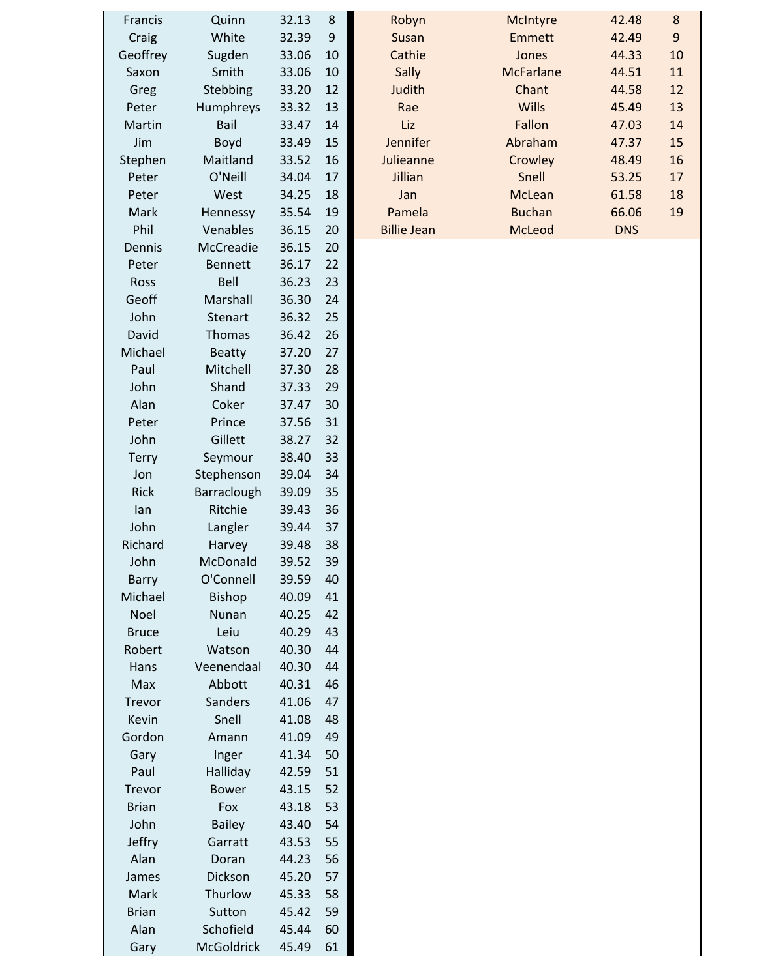| <b>Francis</b> | Quinn             | 32.13 | 8  |
|----------------|-------------------|-------|----|
| Craig          | White             | 32.39 | 9  |
| Geoffrey       | Sugden            | 33.06 | 10 |
| Saxon          | Smith             | 33.06 | 10 |
| Greg           | Stebbing          | 33.20 | 12 |
| Peter          | Humphreys         | 33.32 | 13 |
| Martin         | Bail              | 33.47 | 14 |
| Jim            | Boyd              | 33.49 | 15 |
| Stephen        | Maitland          | 33.52 | 16 |
| Peter          | O'Neill           | 34.04 | 17 |
| Peter          | West              | 34.25 | 18 |
| Mark           | Hennessy          | 35.54 | 19 |
| Phil           | Venables          | 36.15 | 20 |
| Dennis         | McCreadie         | 36.15 | 20 |
| Peter          | <b>Bennett</b>    | 36.17 | 22 |
| Ross           | Bell              | 36.23 | 23 |
| Geoff          | Marshall          | 36.30 | 24 |
| John           | <b>Stenart</b>    | 36.32 | 25 |
| David          | <b>Thomas</b>     | 36.42 | 26 |
| Michael        | <b>Beatty</b>     | 37.20 | 27 |
| Paul           | Mitchell          | 37.30 | 28 |
| John           | Shand             | 37.33 | 29 |
| Alan           | Coker             | 37.47 | 30 |
| Peter          | Prince            | 37.56 | 31 |
| John           | Gillett           | 38.27 | 32 |
| Terry          | Seymour           | 38.40 | 33 |
| Jon            | Stephenson        | 39.04 | 34 |
| <b>Rick</b>    | Barraclough       | 39.09 | 35 |
| lan            | Ritchie           | 39.43 | 36 |
| John           | Langler           | 39.44 | 37 |
| Richard        | Harvey            | 39.48 | 38 |
| John           | McDonald          | 39.52 | 39 |
| Barry          | O'Connell         | 39.59 | 40 |
| Michael        | <b>Bishop</b>     | 40.09 | 41 |
| <b>Noel</b>    | Nunan             | 40.25 | 42 |
| <b>Bruce</b>   | Leiu              | 40.29 | 43 |
| Robert         | Watson            | 40.30 | 44 |
| Hans           | Veenendaal        | 40.30 | 44 |
| Max            | Abbott            | 40.31 | 46 |
| Trevor         | Sanders           | 41.06 | 47 |
| Kevin          | Snell             | 41.08 | 48 |
| Gordon         | Amann             | 41.09 | 49 |
| Gary           | Inger             | 41.34 | 50 |
| Paul           | Halliday          | 42.59 | 51 |
| <b>Trevor</b>  | <b>Bower</b>      | 43.15 | 52 |
| <b>Brian</b>   | Fox               | 43.18 | 53 |
| John           | <b>Bailey</b>     | 43.40 | 54 |
| Jeffry         | Garratt           | 43.53 | 55 |
| Alan           | Doran             | 44.23 | 56 |
| James          | Dickson           | 45.20 | 57 |
| Mark           | Thurlow           | 45.33 | 58 |
| <b>Brian</b>   | Sutton            | 45.42 | 59 |
| Alan           | Schofield         | 45.44 | 60 |
| Gary           | <b>McGoldrick</b> | 45.49 | 61 |
|                |                   |       |    |

| <b>Francis</b> | Quinn           | 32.13     | 8   | Robyn              | <b>McIntyre</b>  | 42.48      | 8  |
|----------------|-----------------|-----------|-----|--------------------|------------------|------------|----|
| Craig          | White           | 32.39     | 9   | Susan              | Emmett           | 42.49      | 9  |
| Geoffrey       | Sugden          | 33.06     | 10  | Cathie             | Jones            | 44.33      | 10 |
| Saxon          | Smith           | 33.06     | 10  | Sally              | <b>McFarlane</b> | 44.51      | 11 |
| Greg           | Stebbing        | 33.20     | 12  | Judith             | Chant            | 44.58      | 12 |
| Peter          | Humphreys       | 33.32     | 13  | Rae                | <b>Wills</b>     | 45.49      | 13 |
| Martin         | Bail            | 33.47     | 14  | Liz                | Fallon           | 47.03      | 14 |
| <b>Jim</b>     | <b>Boyd</b>     | 33.49     | 15  | Jennifer           | Abraham          | 47.37      | 15 |
| Stephen        | Maitland        | 33.52     | 16  | Julieanne          | Crowley          | 48.49      | 16 |
| Peter          | O'Neill         | 34.04     | 17  | Jillian            | Snell            | 53.25      | 17 |
| Peter          | West            | 34.25     | 18  | Jan                | McLean           | 61.58      | 18 |
| Mark           | Hennessy        | 35.54     | 19  | Pamela             | <b>Buchan</b>    | 66.06      | 19 |
| Phil           | Venables        | 36.15     | 20  | <b>Billie Jean</b> | McLeod           | <b>DNS</b> |    |
| Donnic         | $M_{c}$ $C_{r}$ | $2C$ $1C$ | n n |                    |                  |            |    |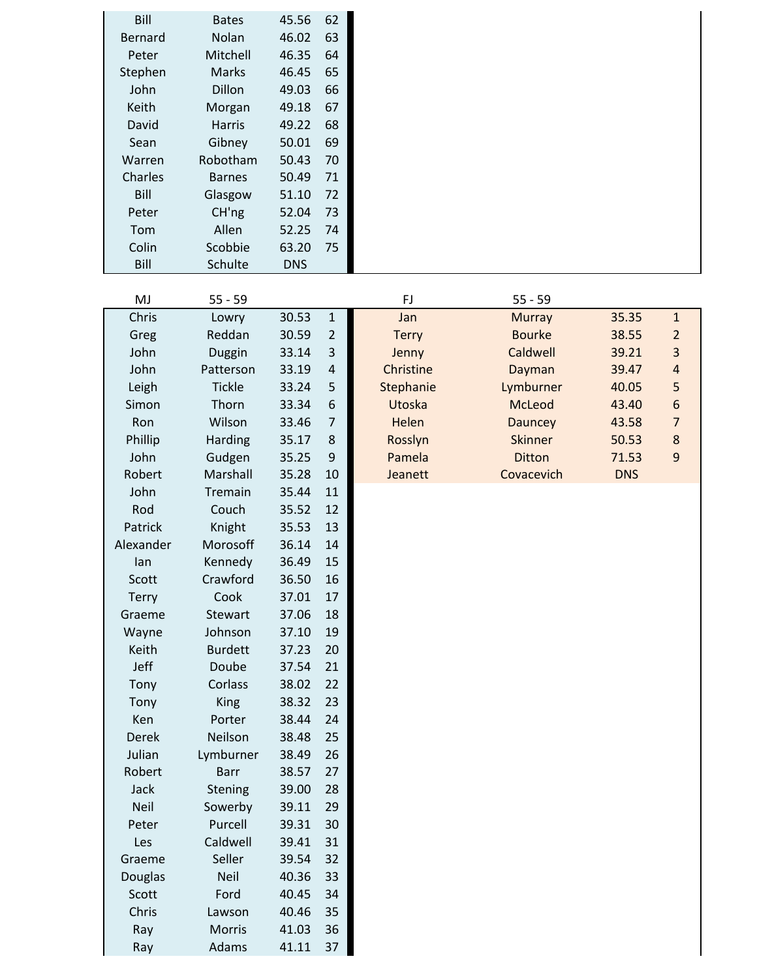| <b>Bill</b>    | <b>Bates</b>  | 45.56      | 62 |
|----------------|---------------|------------|----|
| <b>Bernard</b> | Nolan         | 46.02      | 63 |
| Peter          | Mitchell      | 46.35      | 64 |
| Stephen        | <b>Marks</b>  | 46.45      | 65 |
| John           | Dillon        | 49.03      | 66 |
| Keith          | Morgan        | 49.18      | 67 |
| David          | <b>Harris</b> | 49.22      | 68 |
| Sean           | Gibney        | 50.01      | 69 |
| Warren         | Robotham      | 50.43      | 70 |
| Charles        | <b>Barnes</b> | 50.49      | 71 |
| Bill           | Glasgow       | 51.10      | 72 |
| Peter          | CH'ng         | 52.04      | 73 |
| Tom            | Allen         | 52.25      | 74 |
| Colin          | Scobbie       | 63.20      | 75 |
| Bill           | Schulte       | <b>DNS</b> |    |

| MJ             | $55 - 59$      |       |                | FJ           | $55 - 59$      |            |                  |
|----------------|----------------|-------|----------------|--------------|----------------|------------|------------------|
| Chris          | Lowry          | 30.53 | $\mathbf{1}$   | Jan          | <b>Murray</b>  | 35.35      | $\mathbf{1}$     |
| Greg           | Reddan         | 30.59 | $\overline{2}$ | <b>Terry</b> | <b>Bourke</b>  | 38.55      | 2                |
| John           | Duggin         | 33.14 | 3              | Jenny        | Caldwell       | 39.21      | 3                |
| John           | Patterson      | 33.19 | $\sqrt{4}$     | Christine    | Dayman         | 39.47      | $\overline{a}$   |
| Leigh          | <b>Tickle</b>  | 33.24 | 5              | Stephanie    | Lymburner      | 40.05      | 5                |
| Simon          | Thorn          | 33.34 | 6              | Utoska       | McLeod         | 43.40      | $\boldsymbol{6}$ |
| Ron            | Wilson         | 33.46 | $\overline{7}$ | Helen        | Dauncey        | 43.58      | $\overline{7}$   |
| Phillip        | Harding        | 35.17 | $\bf 8$        | Rosslyn      | <b>Skinner</b> | 50.53      | $\bf 8$          |
| John           | Gudgen         | 35.25 | $9$            | Pamela       | <b>Ditton</b>  | 71.53      | $\boldsymbol{9}$ |
| Robert         | Marshall       | 35.28 | 10             | Jeanett      | Covacevich     | <b>DNS</b> |                  |
| John           | Tremain        | 35.44 | 11             |              |                |            |                  |
| Rod            | Couch          | 35.52 | 12             |              |                |            |                  |
| Patrick        | Knight         | 35.53 | 13             |              |                |            |                  |
| Alexander      | Morosoff       | 36.14 | 14             |              |                |            |                  |
| lan            | Kennedy        | 36.49 | 15             |              |                |            |                  |
| Scott          | Crawford       | 36.50 | 16             |              |                |            |                  |
| <b>Terry</b>   | Cook           | 37.01 | 17             |              |                |            |                  |
| Graeme         | Stewart        | 37.06 | 18             |              |                |            |                  |
| Wayne          | Johnson        | 37.10 | 19             |              |                |            |                  |
| Keith          | <b>Burdett</b> | 37.23 | 20             |              |                |            |                  |
| Jeff           | Doube          | 37.54 | 21             |              |                |            |                  |
| Tony           | Corlass        | 38.02 | 22             |              |                |            |                  |
| Tony           | <b>King</b>    | 38.32 | 23             |              |                |            |                  |
| Ken            | Porter         | 38.44 | 24             |              |                |            |                  |
| <b>Derek</b>   | Neilson        | 38.48 | 25             |              |                |            |                  |
| Julian         | Lymburner      | 38.49 | 26             |              |                |            |                  |
| Robert         | <b>Barr</b>    | 38.57 | 27             |              |                |            |                  |
| Jack           | Stening        | 39.00 | 28             |              |                |            |                  |
| <b>Neil</b>    | Sowerby        | 39.11 | 29             |              |                |            |                  |
| Peter          | Purcell        | 39.31 | 30             |              |                |            |                  |
| Les            | Caldwell       | 39.41 | 31             |              |                |            |                  |
| Graeme         | Seller         | 39.54 | 32             |              |                |            |                  |
| <b>Douglas</b> | <b>Neil</b>    | 40.36 | 33             |              |                |            |                  |
| Scott          | Ford           | 40.45 | 34             |              |                |            |                  |
| Chris          | Lawson         | 40.46 | 35             |              |                |            |                  |
| Ray            | Morris         | 41.03 | 36             |              |                |            |                  |
| Ray            | Adams          | 41.11 | 37             |              |                |            |                  |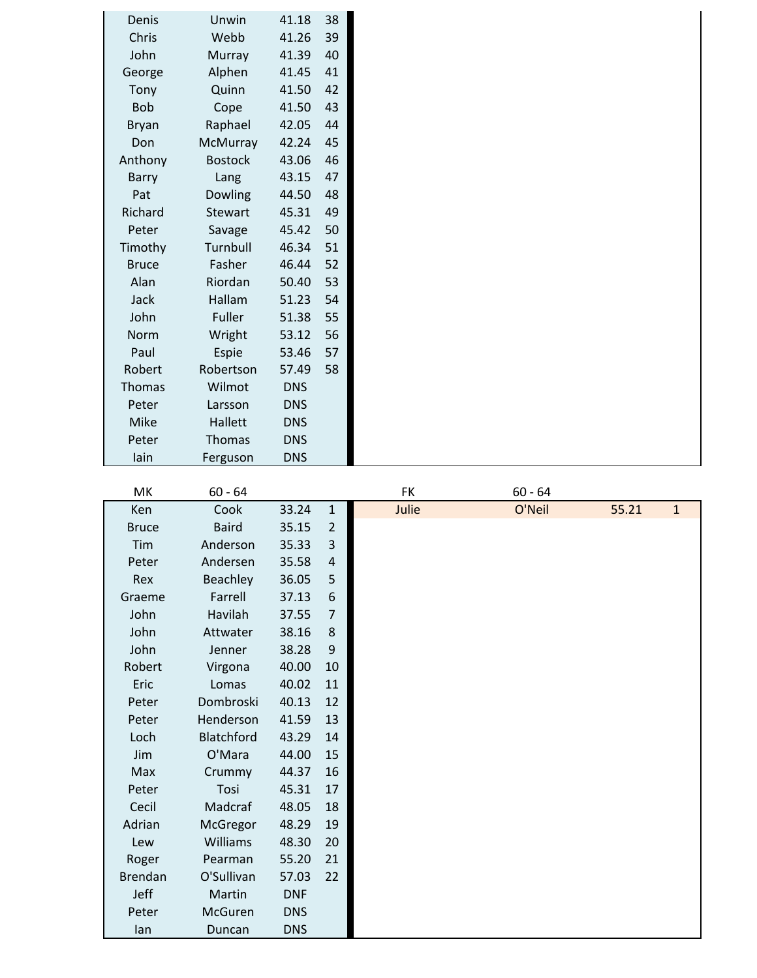| Denis         | Unwin          | 41.18      | 38 |
|---------------|----------------|------------|----|
| Chris         | Webb           | 41.26      | 39 |
| John          | <b>Murray</b>  | 41.39      | 40 |
| George        | Alphen         | 41.45      | 41 |
| Tony          | Quinn          | 41.50      | 42 |
| <b>Bob</b>    | Cope           | 41.50      | 43 |
| <b>Bryan</b>  | Raphael        | 42.05      | 44 |
| Don           | McMurray       | 42.24      | 45 |
| Anthony       | <b>Bostock</b> | 43.06      | 46 |
| Barry         | Lang           | 43.15      | 47 |
| Pat           | Dowling        | 44.50      | 48 |
| Richard       | Stewart        | 45.31      | 49 |
| Peter         | Savage         | 45.42      | 50 |
| Timothy       | Turnbull       | 46.34      | 51 |
| <b>Bruce</b>  | Fasher         | 46.44      | 52 |
| Alan          | Riordan        | 50.40      | 53 |
| Jack          | Hallam         | 51.23      | 54 |
| John          | Fuller         | 51.38      | 55 |
| Norm          | Wright         | 53.12      | 56 |
| Paul          | Espie          | 53.46      | 57 |
| Robert        | Robertson      | 57.49      | 58 |
| <b>Thomas</b> | Wilmot         | <b>DNS</b> |    |
| Peter         | Larsson        | <b>DNS</b> |    |
| Mike          | Hallett        | <b>DNS</b> |    |
| Peter         | Thomas         | <b>DNS</b> |    |
| lain          | Ferguson       | <b>DNS</b> |    |

| MK             | $60 - 64$    |            |                  | FK    | $60 - 64$ |       |              |
|----------------|--------------|------------|------------------|-------|-----------|-------|--------------|
| Ken            | Cook         | 33.24      | $\mathbf{1}$     | Julie | O'Neil    | 55.21 | $\mathbf{1}$ |
| <b>Bruce</b>   | <b>Baird</b> | 35.15      | $\overline{2}$   |       |           |       |              |
| Tim            | Anderson     | 35.33      | $\overline{3}$   |       |           |       |              |
| Peter          | Andersen     | 35.58      | $\sqrt{4}$       |       |           |       |              |
| Rex            | Beachley     | 36.05      | 5                |       |           |       |              |
| Graeme         | Farrell      | 37.13      | $\boldsymbol{6}$ |       |           |       |              |
| John           | Havilah      | 37.55      | $\overline{7}$   |       |           |       |              |
| John           | Attwater     | 38.16      | $\,8\,$          |       |           |       |              |
| John           | Jenner       | 38.28      | $9\,$            |       |           |       |              |
| Robert         | Virgona      | 40.00      | 10               |       |           |       |              |
| Eric           | Lomas        | 40.02      | 11               |       |           |       |              |
| Peter          | Dombroski    | 40.13      | 12               |       |           |       |              |
| Peter          | Henderson    | 41.59      | 13               |       |           |       |              |
| Loch           | Blatchford   | 43.29      | 14               |       |           |       |              |
| Jim            | O'Mara       | 44.00      | 15               |       |           |       |              |
| Max            | Crummy       | 44.37      | 16               |       |           |       |              |
| Peter          | Tosi         | 45.31      | 17               |       |           |       |              |
| Cecil          | Madcraf      | 48.05      | 18               |       |           |       |              |
| Adrian         | McGregor     | 48.29      | 19               |       |           |       |              |
| Lew            | Williams     | 48.30      | 20               |       |           |       |              |
| Roger          | Pearman      | 55.20      | 21               |       |           |       |              |
| <b>Brendan</b> | O'Sullivan   | 57.03      | 22               |       |           |       |              |
| Jeff           | Martin       | <b>DNF</b> |                  |       |           |       |              |
| Peter          | McGuren      | <b>DNS</b> |                  |       |           |       |              |
| lan            | Duncan       | <b>DNS</b> |                  |       |           |       |              |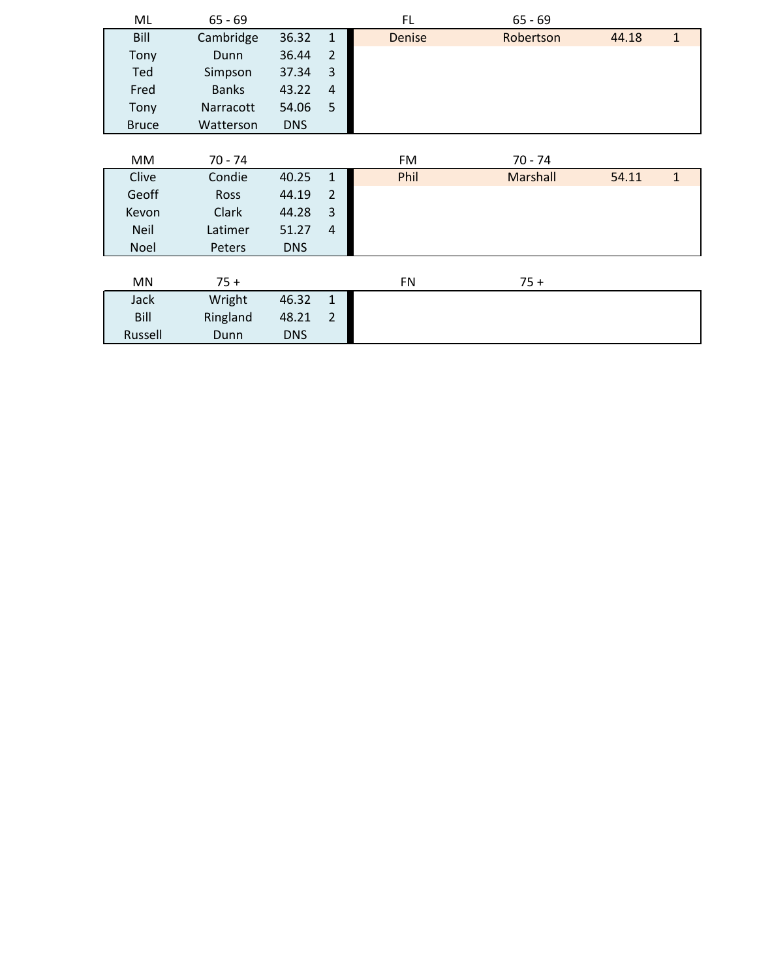| ML           | $65 - 69$    |            |                | FL.           | $65 - 69$       |       |              |
|--------------|--------------|------------|----------------|---------------|-----------------|-------|--------------|
| Bill         | Cambridge    | 36.32      | $\mathbf{1}$   | <b>Denise</b> | Robertson       | 44.18 | $\mathbf{1}$ |
| Tony         | Dunn         | 36.44      | $\overline{2}$ |               |                 |       |              |
| Ted          | Simpson      | 37.34      | 3              |               |                 |       |              |
| Fred         | <b>Banks</b> | 43.22      | $\overline{4}$ |               |                 |       |              |
| Tony         | Narracott    | 54.06      | 5              |               |                 |       |              |
| <b>Bruce</b> | Watterson    | <b>DNS</b> |                |               |                 |       |              |
|              |              |            |                |               |                 |       |              |
| МM           | $70 - 74$    |            |                | FM            | $70 - 74$       |       |              |
| Clive        | Condie       | 40.25      | $\mathbf{1}$   | Phil          | <b>Marshall</b> | 54.11 | $\mathbf{1}$ |
| Geoff        | <b>Ross</b>  | 44.19      | $\overline{2}$ |               |                 |       |              |
| Kevon        | Clark        | 44.28      | 3              |               |                 |       |              |
| <b>Neil</b>  | Latimer      | 51.27      | $\overline{4}$ |               |                 |       |              |
| Noel         | Peters       | <b>DNS</b> |                |               |                 |       |              |
|              |              |            |                |               |                 |       |              |
| <b>MN</b>    | $75 +$       |            |                | <b>FN</b>     | $75 +$          |       |              |
| <b>Jack</b>  | Wright       | 46.32      | $\mathbf{1}$   |               |                 |       |              |
| Bill         | Ringland     | 48.21      | $\overline{2}$ |               |                 |       |              |
| Russell      | Dunn         | <b>DNS</b> |                |               |                 |       |              |